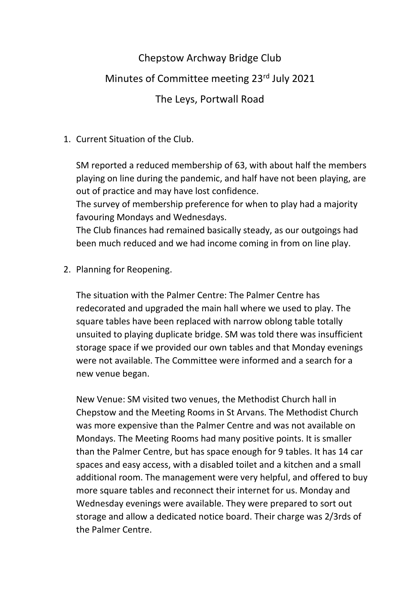## Chepstow Archway Bridge Club

## Minutes of Committee meeting 23rd July 2021

## The Leys, Portwall Road

## 1. Current Situation of the Club.

SM reported a reduced membership of 63, with about half the members playing on line during the pandemic, and half have not been playing, are out of practice and may have lost confidence.

The survey of membership preference for when to play had a majority favouring Mondays and Wednesdays.

The Club finances had remained basically steady, as our outgoings had been much reduced and we had income coming in from on line play.

2. Planning for Reopening.

The situation with the Palmer Centre: The Palmer Centre has redecorated and upgraded the main hall where we used to play. The square tables have been replaced with narrow oblong table totally unsuited to playing duplicate bridge. SM was told there was insufficient storage space if we provided our own tables and that Monday evenings were not available. The Committee were informed and a search for a new venue began.

New Venue: SM visited two venues, the Methodist Church hall in Chepstow and the Meeting Rooms in St Arvans. The Methodist Church was more expensive than the Palmer Centre and was not available on Mondays. The Meeting Rooms had many positive points. It is smaller than the Palmer Centre, but has space enough for 9 tables. It has 14 car spaces and easy access, with a disabled toilet and a kitchen and a small additional room. The management were very helpful, and offered to buy more square tables and reconnect their internet for us. Monday and Wednesday evenings were available. They were prepared to sort out storage and allow a dedicated notice board. Their charge was 2/3rds of the Palmer Centre.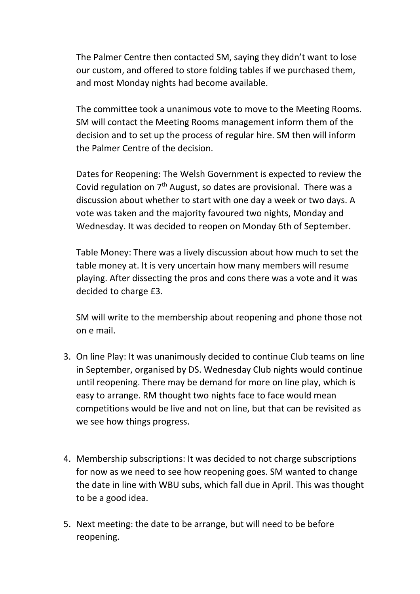The Palmer Centre then contacted SM, saying they didn't want to lose our custom, and offered to store folding tables if we purchased them, and most Monday nights had become available.

The committee took a unanimous vote to move to the Meeting Rooms. SM will contact the Meeting Rooms management inform them of the decision and to set up the process of regular hire. SM then will inform the Palmer Centre of the decision.

Dates for Reopening: The Welsh Government is expected to review the Covid regulation on  $7<sup>th</sup>$  August, so dates are provisional. There was a discussion about whether to start with one day a week or two days. A vote was taken and the majority favoured two nights, Monday and Wednesday. It was decided to reopen on Monday 6th of September.

Table Money: There was a lively discussion about how much to set the table money at. It is very uncertain how many members will resume playing. After dissecting the pros and cons there was a vote and it was decided to charge £3.

SM will write to the membership about reopening and phone those not on e mail.

- 3. On line Play: It was unanimously decided to continue Club teams on line in September, organised by DS. Wednesday Club nights would continue until reopening. There may be demand for more on line play, which is easy to arrange. RM thought two nights face to face would mean competitions would be live and not on line, but that can be revisited as we see how things progress.
- 4. Membership subscriptions: It was decided to not charge subscriptions for now as we need to see how reopening goes. SM wanted to change the date in line with WBU subs, which fall due in April. This was thought to be a good idea.
- 5. Next meeting: the date to be arrange, but will need to be before reopening.